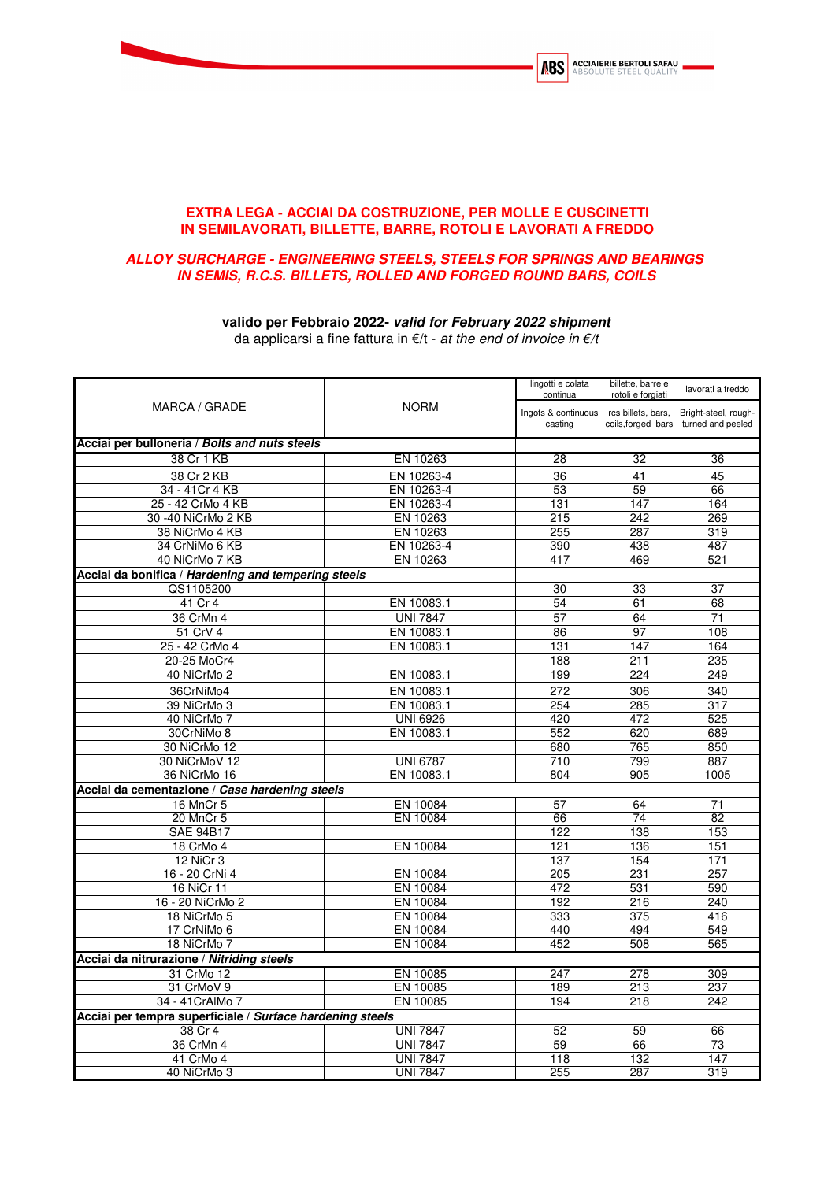

## **EXTRA LEGA - ACCIAI DA COSTRUZIONE, PER MOLLE E CUSCINETTI IN SEMILAVORATI, BILLETTE, BARRE, ROTOLI E LAVORATI A FREDDO**

## **ALLOY SURCHARGE - ENGINEERING STEELS, STEELS FOR SPRINGS AND BEARINGS IN SEMIS, R.C.S. BILLETS, ROLLED AND FORGED ROUND BARS, COILS**

## **valido per Febbraio 2022- valid for February 2022 shipment**

da applicarsi a fine fattura in  $E/t$  - at the end of invoice in  $E/t$ 

|                                                           |                         | lingotti e colata                                                      | billette, barre e |                                      |
|-----------------------------------------------------------|-------------------------|------------------------------------------------------------------------|-------------------|--------------------------------------|
| MARCA / GRADE                                             | continua<br><b>NORM</b> |                                                                        | rotoli e forgiati | lavorati a freddo                    |
|                                                           |                         |                                                                        |                   |                                      |
|                                                           |                         | Ingots & continuous rcs billets, bars, Bright-steel, rough-<br>casting |                   | coils, forged bars turned and peeled |
|                                                           |                         |                                                                        |                   |                                      |
| Acciai per bulloneria / Bolts and nuts steels             |                         |                                                                        |                   |                                      |
| 38 Cr 1 KB                                                | EN 10263                | 28                                                                     | 32                | 36                                   |
| 38 Cr 2 KB                                                | EN 10263-4              | 36                                                                     | 41                | 45                                   |
| 34 - 41 Cr 4 KB                                           | EN 10263-4              | 53                                                                     | 59                | 66                                   |
| 25 - 42 CrMo 4 KB                                         | EN 10263-4              | 131                                                                    | 147               | 164                                  |
| 30 -40 NiCrMo 2 KB                                        | EN 10263                | 215                                                                    | 242               | 269                                  |
| 38 NiCrMo 4 KB                                            | EN 10263                | 255                                                                    | 287               | 319                                  |
| 34 CrNiMo 6 KB                                            | EN 10263-4              | 390                                                                    | 438               | 487                                  |
| 40 NiCrMo 7 KB                                            | EN 10263                | 417                                                                    | 469               | 521                                  |
| Acciai da bonifica / Hardening and tempering steels       |                         |                                                                        |                   |                                      |
| QS1105200                                                 |                         | 30                                                                     | 33                | 37                                   |
| 41 Cr 4                                                   | EN 10083.1              | 54                                                                     | 61                | 68                                   |
| 36 CrMn 4                                                 | <b>UNI 7847</b>         | 57                                                                     | 64                | 71                                   |
| 51 CrV 4                                                  | EN 10083.1              | 86                                                                     | 97                | 108                                  |
| 25 - 42 CrMo 4                                            | EN 10083.1              | 131                                                                    | 147               | 164                                  |
| 20-25 MoCr4                                               |                         | 188                                                                    | 211               | 235                                  |
| 40 NiCrMo 2                                               | EN 10083.1              | 199                                                                    | 224               | 249                                  |
| 36CrNiMo4                                                 | EN 10083.1              | 272                                                                    | 306               | 340                                  |
| 39 NiCrMo 3                                               | EN 10083.1              | 254                                                                    | 285               | 317                                  |
| 40 NiCrMo 7                                               | <b>UNI 6926</b>         | 420                                                                    | 472               | 525                                  |
| 30CrNiMo 8                                                | EN 10083.1              | 552                                                                    | 620               | 689                                  |
| 30 NiCrMo 12                                              |                         | 680                                                                    | 765               | 850                                  |
| 30 NiCrMoV 12                                             | <b>UNI 6787</b>         | 710                                                                    | 799               | 887                                  |
| 36 NiCrMo 16                                              | EN 10083.1              | 804                                                                    | 905               | 1005                                 |
| Acciai da cementazione / Case hardening steels            |                         |                                                                        |                   |                                      |
| <b>16 MnCr 5</b>                                          | EN 10084                | 57                                                                     | 64                | 71                                   |
| 20 MnCr 5                                                 | EN 10084                | 66                                                                     | 74                | 82                                   |
| <b>SAE 94B17</b>                                          |                         | 122                                                                    | 138               | 153                                  |
| 18 CrMo 4                                                 | EN 10084                | 121                                                                    | 136               | 151                                  |
| <b>12 NiCr 3</b>                                          |                         | 137                                                                    | 154               | 171                                  |
| 16 - 20 CrNi 4                                            | EN 10084                | 205                                                                    | 231               | 257                                  |
| 16 NiCr 11                                                | EN 10084                | 472                                                                    | 531               | 590                                  |
| 16 - 20 NiCrMo 2                                          | EN 10084                | 192                                                                    | 216               | 240                                  |
| 18 NiCrMo 5                                               | EN 10084                | 333                                                                    | 375               | 416                                  |
| 17 CrNiMo 6                                               | EN 10084                | 440                                                                    | 494               | 549                                  |
| 18 NiCrMo 7                                               | EN 10084                | 452                                                                    | 508               | 565                                  |
| Acciai da nitrurazione / Nitriding steels                 |                         |                                                                        |                   |                                      |
| 31 CrMo 12                                                | EN 10085                | 247                                                                    | 278               | 309                                  |
| 31 CrMoV 9                                                | EN 10085                | 189                                                                    | 213               | 237                                  |
| 34 - 41 CrAlMo 7                                          | EN 10085                | 194                                                                    | 218               | 242                                  |
| Acciai per tempra superficiale / Surface hardening steels |                         |                                                                        |                   |                                      |
| 38 Cr 4                                                   | <b>UNI 7847</b>         | 52                                                                     | 59                | 66                                   |
| 36 CrMn 4                                                 | <b>UNI 7847</b>         | 59                                                                     | 66                | 73                                   |
| 41 CrMo 4                                                 | <b>UNI 7847</b>         | 118                                                                    | 132               | 147                                  |
| 40 NiCrMo 3                                               | <b>UNI 7847</b>         | 255                                                                    | 287               | 319                                  |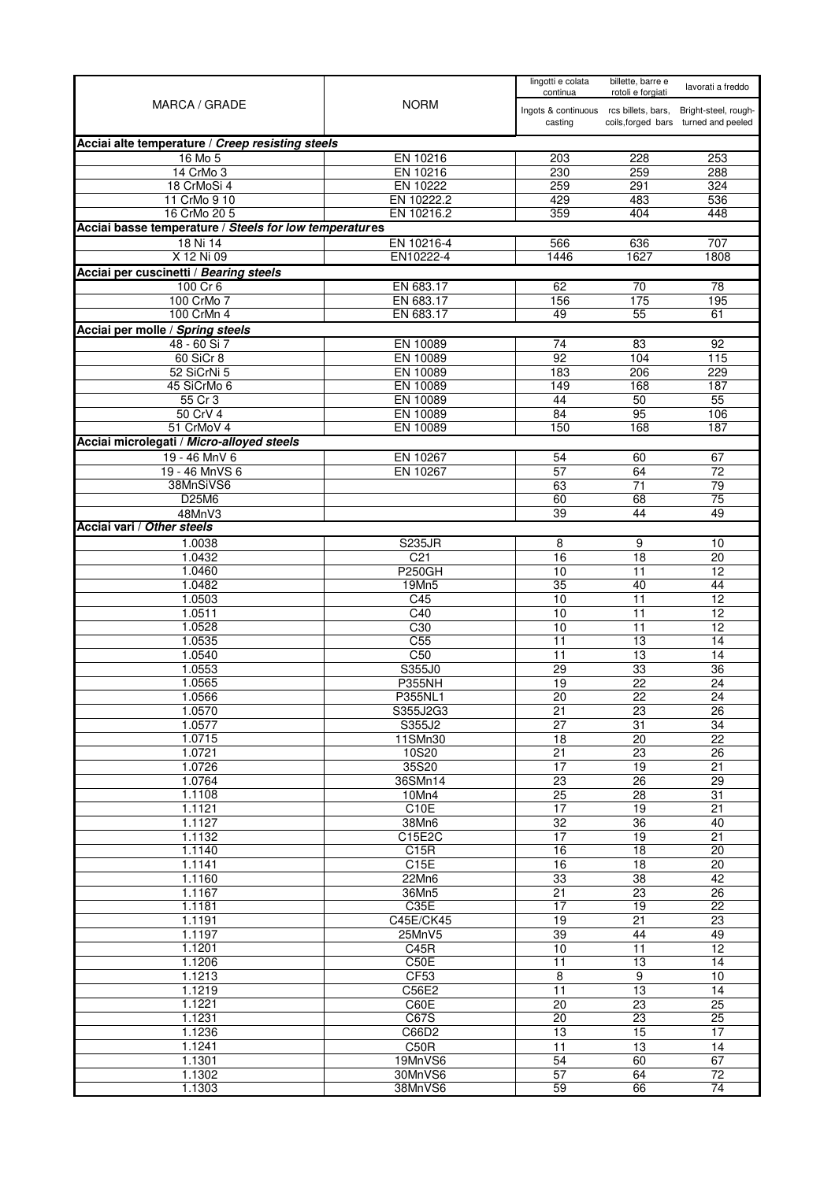| MARCA / GRADE                                          | <b>NORM</b>            | lingotti e colata<br>continua          | billette, barre e<br>rotoli e forgiati | lavorati a freddo                    |
|--------------------------------------------------------|------------------------|----------------------------------------|----------------------------------------|--------------------------------------|
|                                                        |                        | Ingots & continuous rcs billets, bars, |                                        | Bright-steel, rough-                 |
|                                                        |                        | casting                                |                                        | coils, forged bars turned and peeled |
| Acciai alte temperature / Creep resisting steels       |                        |                                        |                                        |                                      |
| 16 Mo 5                                                | EN 10216               | 203                                    | 228                                    | 253                                  |
| 14 CrMo 3                                              | EN 10216               | 230                                    | 259                                    | 288                                  |
| 18 CrMoSi 4                                            | EN 10222<br>EN 10222.2 | 259<br>429                             | 291<br>483                             | 324<br>536                           |
| 11 CrMo 9 10<br>16 CrMo 20 5                           | EN 10216.2             | 359                                    | 404                                    | 448                                  |
| Acciai basse temperature / Steels for low temperatures |                        |                                        |                                        |                                      |
| 18 Ni 14                                               | EN 10216-4             | 566                                    | 636                                    | 707                                  |
| X 12 Ni 09                                             | EN10222-4              | 1446                                   | 1627                                   | 1808                                 |
| Acciai per cuscinetti / Bearing steels                 |                        |                                        |                                        |                                      |
| 100 Cr 6                                               | EN 683.17              | 62                                     | 70                                     | 78                                   |
| 100 CrMo 7                                             | EN 683.17              | 156                                    | 175                                    | 195                                  |
| 100 CrMn 4                                             | EN 683.17              | 49                                     | 55                                     | 61                                   |
| Acciai per molle / Spring steels                       |                        |                                        |                                        |                                      |
| 48 - 60 Si 7                                           | EN 10089               | 74                                     | 83                                     | 92                                   |
| 60 SiCr 8                                              | EN 10089               | 92                                     | 104                                    | 115                                  |
| 52 SiCrNi 5                                            | EN 10089               | 183                                    | 206                                    | 229                                  |
| 45 SiCrMo 6<br>55 Cr 3                                 | EN 10089<br>EN 10089   | 149<br>44                              | 168<br>50                              | 187<br>55                            |
| 50 CrV 4                                               | EN 10089               | 84                                     | 95                                     | 106                                  |
| 51 CrMoV 4                                             | EN 10089               | 150                                    | 168                                    | 187                                  |
| Acciai microlegati / Micro-alloyed steels              |                        |                                        |                                        |                                      |
| 19 - 46 MnV 6                                          | EN 10267               | 54                                     | 60                                     | 67                                   |
| 19 - 46 MnVS 6                                         | EN 10267               | 57                                     | 64                                     | 72                                   |
| 38MnSiVS6                                              |                        | 63                                     | $\overline{71}$                        | 79                                   |
| D25M6                                                  |                        | 60                                     | 68                                     | $\overline{75}$                      |
| 48MnV3                                                 |                        | $\overline{39}$                        | 44                                     | 49                                   |
| Acciai vari / Other steels                             |                        |                                        |                                        |                                      |
| 1.0038                                                 | <b>S235JR</b>          | 8                                      | 9                                      | 10                                   |
| 1.0432                                                 | C <sub>21</sub>        | 16                                     | 18                                     | 20                                   |
| 1.0460<br>1.0482                                       | <b>P250GH</b><br>19Mn5 | 10<br>35                               | 11<br>40                               | 12<br>44                             |
| 1.0503                                                 | C45                    | 10                                     | 11                                     | 12                                   |
| 1.0511                                                 | C40                    | 10                                     | 11                                     | 12                                   |
| 1.0528                                                 | C30                    | 10                                     | 11                                     | $\overline{12}$                      |
| 1.0535                                                 | C <sub>55</sub>        | 11                                     | 13                                     | 14                                   |
| 1.0540                                                 | $\overline{C50}$       | 11                                     | $\overline{13}$                        | 14                                   |
| 1.0553                                                 | S355J0                 | $\overline{29}$                        | 33                                     | 36                                   |
| 1.0565                                                 | <b>P355NH</b>          | 19                                     | 22                                     | 24                                   |
| 1.0566                                                 | P355NL1                | 20                                     | 22                                     | 24                                   |
| 1.0570<br>1.0577                                       | S355J2G3<br>S355J2     | 21<br>27                               | 23<br>31                               | 26<br>34                             |
| 1.0715                                                 | 11SMn30                | 18                                     | $\overline{20}$                        | $\overline{22}$                      |
| 1.0721                                                 | 10S20                  | $\overline{21}$                        | $\overline{23}$                        | $\overline{26}$                      |
| 1.0726                                                 | 35S20                  | 17                                     | 19                                     | 21                                   |
| 1.0764                                                 | 36SMn14                | $\overline{23}$                        | $\overline{26}$                        | $\overline{29}$                      |
| 1.1108                                                 | 10Mn4                  | $\overline{25}$                        | $\overline{28}$                        | $\overline{31}$                      |
| 1.1121                                                 | C10E                   | 17                                     | 19                                     | 21                                   |
| 1.1127                                                 | 38Mn6                  | 32                                     | 36                                     | 40                                   |
| 1.1132                                                 | C15E2C                 | 17                                     | 19                                     | $\overline{21}$                      |
| 1.1140<br>1.1141                                       | C15R<br>C15E           | 16<br>16                               | 18<br>18                               | 20<br>20                             |
| 1.1160                                                 | 22Mn6                  | 33                                     | $\overline{38}$                        | 42                                   |
| 1.1167                                                 | 36Mn5                  | 21                                     | 23                                     | $\overline{26}$                      |
| 1.1181                                                 | C35E                   | $\overline{17}$                        | 19                                     | $\overline{22}$                      |
| 1.1191                                                 | C45E/CK45              | 19                                     | 21                                     | $\overline{23}$                      |
| 1.1197                                                 | $25$ MnV5              | 39                                     | 44                                     | 49                                   |
| 1.1201                                                 | C45R                   | 10                                     | 11                                     | 12                                   |
| 1.1206                                                 | C50E                   | $\overline{11}$                        | $\overline{13}$                        | $\overline{14}$                      |
| 1.1213                                                 | <b>CF53</b>            | 8                                      | 9                                      | 10                                   |
| 1.1219<br>1.1221                                       | C56E2<br>C60E          | $\overline{11}$<br>$\overline{20}$     | 13<br>23                               | 14<br>25                             |
| 1.1231                                                 | C67S                   | $\overline{20}$                        | $\overline{23}$                        | $\overline{25}$                      |
| 1.1236                                                 | C66D2                  | 13                                     | 15                                     | $\overline{17}$                      |
| 1.1241                                                 | C50R                   | 11                                     | 13                                     | 14                                   |
| 1.1301                                                 | 19MnVS6                | $\overline{54}$                        | 60                                     | 67                                   |
| 1.1302                                                 | 30MnVS6                | $\overline{57}$                        | 64                                     | 72                                   |
| 1.1303                                                 | 38MnVS6                | 59                                     | 66                                     | 74                                   |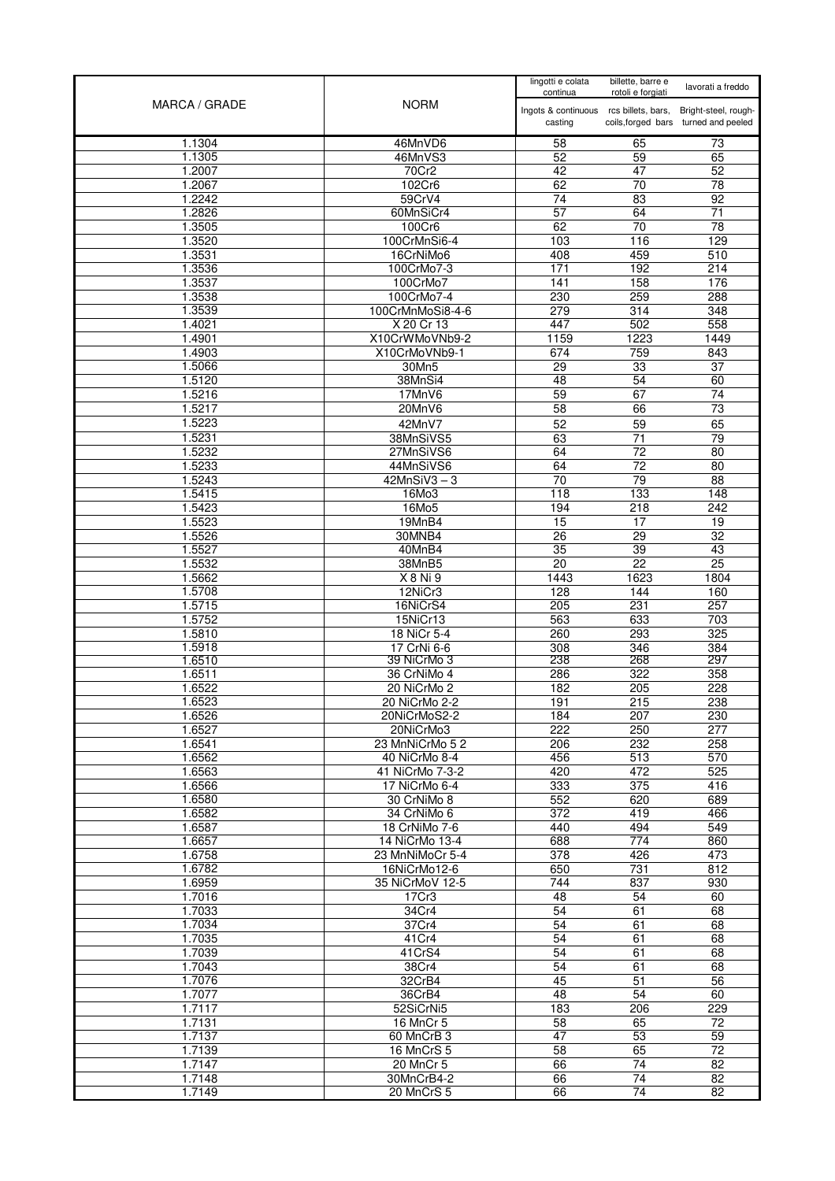| MARCA / GRADE    | <b>NORM</b>                     | lingotti e colata<br>continua                     | billette, barre e<br>rotoli e forgiati | lavorati a freddo                                            |
|------------------|---------------------------------|---------------------------------------------------|----------------------------------------|--------------------------------------------------------------|
|                  |                                 | Ingots & continuous rcs billets, bars,<br>casting |                                        | Bright-steel, rough-<br>coils, forged bars turned and peeled |
| 1.1304           | 46MnVD6                         | 58                                                | 65                                     | 73                                                           |
| 1.1305           | 46MnVS3                         | 52                                                | 59                                     | 65                                                           |
| 1.2007<br>1.2067 | 70Cr2<br>102Cr6                 | 42<br>62                                          | 47<br>70                               | 52<br>$\overline{78}$                                        |
| 1.2242           | 59CrV4                          | 74                                                | $\overline{83}$                        | 92                                                           |
| 1.2826           | 60MnSiCr4                       | 57                                                | 64                                     | 71                                                           |
| 1.3505           | 100Cr6                          | 62                                                | $\overline{70}$                        | 78                                                           |
| 1.3520           | 100CrMnSi6-4                    | 103                                               | 116                                    | 129                                                          |
| 1.3531           | 16CrNiMo6                       | 408                                               | 459                                    | 510                                                          |
| 1.3536           | 100CrMo7-3                      | 171<br>141                                        | 192                                    | 214                                                          |
| 1.3537<br>1.3538 | 100CrMo7<br>100CrMo7-4          | 230                                               | 158<br>259                             | 176<br>288                                                   |
| 1.3539           | 100CrMnMoSi8-4-6                | 279                                               | 314                                    | 348                                                          |
| 1.4021           | X 20 Cr 13                      | 447                                               | 502                                    | 558                                                          |
| 1.4901           | X10CrWMoVNb9-2                  | 1159                                              | 1223                                   | 1449                                                         |
| 1.4903           | X10CrMoVNb9-1                   | 674                                               | 759                                    | 843                                                          |
| 1.5066           | 30Mn5<br>38MnSi4                | 29                                                | 33                                     | 37                                                           |
| 1.5120<br>1.5216 | 17MnV6                          | 48<br>59                                          | 54<br>67                               | 60<br>74                                                     |
| 1.5217           | 20MnV6                          | 58                                                | 66                                     | $\overline{73}$                                              |
| 1.5223           | 42MnV7                          | 52                                                | 59                                     | 65                                                           |
| 1.5231           | 38MnSiVS5                       | 63                                                | 71                                     | 79                                                           |
| 1.5232           | 27MnSiVS6                       | 64                                                | $\overline{72}$                        | $\overline{80}$                                              |
| 1.5233           | 44MnSiVS6                       | 64                                                | 72                                     | 80                                                           |
| 1.5243           | $42MnSiV3 - 3$                  | 70                                                | $\overline{79}$                        | $\overline{88}$                                              |
| 1.5415<br>1.5423 | 16Mo3<br>16Mo5                  | 118<br>194                                        | 133<br>218                             | 148<br>242                                                   |
| 1.5523           | 19MnB4                          | 15                                                | 17                                     | 19                                                           |
| 1.5526           | 30MNB4                          | 26                                                | $\overline{29}$                        | $\overline{32}$                                              |
| 1.5527           | 40MnB4                          | 35                                                | 39                                     | 43                                                           |
| 1.5532           | 38MnB5                          | 20                                                | $\overline{22}$                        | 25                                                           |
| 1.5662           | X 8 Ni 9                        | 1443                                              | 1623                                   | 1804                                                         |
| 1.5708<br>1.5715 | 12NiCr3<br>16NiCrS4             | 128<br>205                                        | 144<br>231                             | 160<br>257                                                   |
| 1.5752           | 15NiCr13                        | 563                                               | 633                                    | 703                                                          |
| 1.5810           | 18 NiCr 5-4                     | 260                                               | 293                                    | 325                                                          |
| 1.5918           | 17 CrNi 6-6                     | 308                                               | 346                                    | 384                                                          |
| 1.6510           | 39 NiCrMo 3                     | 238                                               | 268                                    | 297                                                          |
| 1.6511<br>1.6522 | 36 CrNiMo 4<br>20 NiCrMo 2      | 286<br>182                                        | 322<br>205                             | 358<br>228                                                   |
| 1.6523           | 20 NiCrMo 2-2                   | 191                                               | 215                                    | 238                                                          |
| 1.6526           | 20NiCrMoS2-2                    | 184                                               | 207                                    | 230                                                          |
| 1.6527           | 20NiCrMo3                       | 222                                               | 250                                    | 277                                                          |
| 1.6541           | 23 MnNiCrMo 52                  | 206                                               | 232                                    | 258                                                          |
| 1.6562           | 40 NiCrMo 8-4                   | 456                                               | 513                                    | 570                                                          |
| 1.6563           | 41 NiCrMo 7-3-2                 | 420                                               | 472                                    | 525                                                          |
| 1.6566<br>1.6580 | 17 NiCrMo 6-4<br>30 CrNiMo 8    | 333<br>552                                        | 375<br>620                             | 416<br>689                                                   |
| 1.6582           | 34 CrNiMo 6                     | 372                                               | 419                                    | 466                                                          |
| 1.6587           | 18 CrNiMo 7-6                   | 440                                               | 494                                    | 549                                                          |
| 1.6657           | 14 NiCrMo 13-4                  | 688                                               | 774                                    | 860                                                          |
| 1.6758           | 23 MnNiMoCr 5-4                 | 378                                               | 426                                    | 473                                                          |
| 1.6782<br>1.6959 | 16NiCrMo12-6<br>35 NiCrMoV 12-5 | 650<br>744                                        | 731<br>837                             | 812<br>930                                                   |
| 1.7016           | 17Cr3                           | 48                                                | 54                                     | 60                                                           |
| 1.7033           | 34Cr4                           | 54                                                | 61                                     | 68                                                           |
| 1.7034           | 37Cr4                           | 54                                                | 61                                     | 68                                                           |
| 1.7035           | 41Cr4                           | 54                                                | 61                                     | 68                                                           |
| 1.7039           | 41CrS4                          | 54                                                | 61                                     | 68                                                           |
| 1.7043           | 38Cr4                           | 54                                                | 61                                     | 68                                                           |
| 1.7076<br>1.7077 | 32CrB4<br>36CrB4                | 45<br>48                                          | 51<br>54                               | 56<br>60                                                     |
| 1.7117           | 52SiCrNi5                       | 183                                               | 206                                    | 229                                                          |
| 1.7131           | 16 MnCr 5                       | 58                                                | 65                                     | 72                                                           |
| 1.7137           | 60 MnCrB 3                      | 47                                                | 53                                     | 59                                                           |
| 1.7139           | 16 MnCrS 5                      | $\overline{58}$                                   | 65                                     | 72                                                           |
| 1.7147           | 20 MnCr 5                       | 66                                                | 74                                     | $\overline{82}$                                              |
| 1.7148           | 30MnCrB4-2                      | 66                                                | 74                                     | 82<br>82                                                     |
| 1.7149           | 20 MnCrS 5                      | 66                                                | 74                                     |                                                              |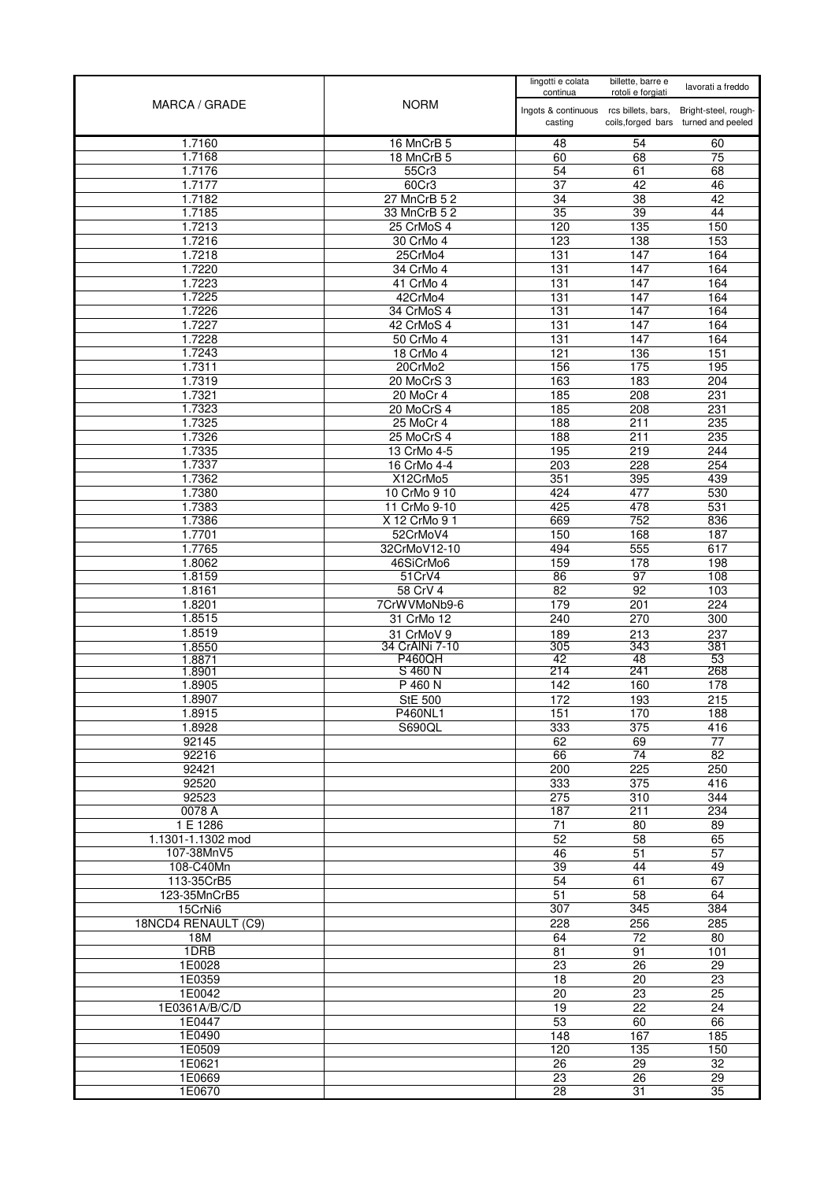|                         |                                 | lingotti e colata<br>continua                     | billette, barre e<br>rotoli e forgiati | lavorati a freddo                                            |
|-------------------------|---------------------------------|---------------------------------------------------|----------------------------------------|--------------------------------------------------------------|
| MARCA / GRADE           | <b>NORM</b>                     | Ingots & continuous rcs billets, bars,<br>casting |                                        | Bright-steel, rough-<br>coils, forged bars turned and peeled |
| 1.7160                  | 16 MnCrB 5                      | 48                                                | 54                                     | 60                                                           |
| 1.7168                  | 18 MnCrB 5                      | 60                                                | 68                                     | 75                                                           |
| 1.7176                  | 55Cr3                           | 54                                                | 61                                     | 68                                                           |
| 1.7177<br>1.7182        | 60Cr3                           | 37                                                | 42<br>$\overline{38}$                  | 46<br>42                                                     |
| 1.7185                  | 27 MnCrB 5 2<br>33 MnCrB 5 2    | 34<br>35                                          | 39                                     | 44                                                           |
| 1.7213                  | 25 CrMoS 4                      | 120                                               | $\frac{1}{135}$                        | 150                                                          |
| 1.7216                  | 30 CrMo 4                       | 123                                               | 138                                    | 153                                                          |
| 1.7218                  | 25CrMo4                         | 131                                               | 147                                    | 164                                                          |
| 1.7220                  | 34 CrMo 4                       | 131                                               | 147                                    | 164                                                          |
| 1.7223                  | 41 CrMo 4                       | 131                                               | 147                                    | 164                                                          |
| 1.7225<br>1.7226        | 42CrMo4<br>34 CrMoS 4           | 131<br>131                                        | 147<br>147                             | 164<br>164                                                   |
| 1.7227                  | 42 CrMoS 4                      | 131                                               | 147                                    | 164                                                          |
| 1.7228                  | 50 CrMo 4                       | 131                                               | 147                                    | 164                                                          |
| 1.7243                  | 18 CrMo 4                       | 121                                               | 136                                    | 151                                                          |
| 1.7311                  | 20CrMo2                         | 156                                               | 175                                    | 195                                                          |
| 1.7319                  | 20 MoCrS 3                      | 163                                               | 183                                    | 204                                                          |
| 1.7321                  | 20 MoCr 4                       | 185                                               | 208                                    | 231                                                          |
| 1.7323                  | 20 MoCrS 4                      | 185                                               | 208                                    | 231                                                          |
| 1.7325<br>1.7326        | 25 MoCr 4<br>25 MoCrS 4         | 188<br>188                                        | 211<br>211                             | 235<br>235                                                   |
| 1.7335                  | 13 CrMo 4-5                     | 195                                               | 219                                    | 244                                                          |
| 1.7337                  | 16 CrMo 4-4                     | 203                                               | 228                                    | 254                                                          |
| 1.7362                  | X12CrMo5                        | 351                                               | 395                                    | 439                                                          |
| 1.7380                  | 10 CrMo 9 10                    | 424                                               | 477                                    | 530                                                          |
| 1.7383                  | 11 CrMo 9-10                    | 425                                               | 478                                    | 531                                                          |
| 1.7386                  | X 12 CrMo 9 1                   | 669                                               | 752                                    | 836                                                          |
| 1.7701                  | 52CrMoV4                        | 150                                               | 168                                    | 187                                                          |
| 1.7765<br>1.8062        | 32CrMoV12-10<br>46SiCrMo6       | 494<br>159                                        | 555<br>178                             | 617<br>198                                                   |
| 1.8159                  | 51CrV4                          | 86                                                | $\overline{97}$                        | 108                                                          |
| 1.8161                  | 58 CrV 4                        | 82                                                | 92                                     | 103                                                          |
| 1.8201                  | 7CrWVMoNb9-6                    | 179                                               | 201                                    | 224                                                          |
| 1.8515                  | 31 CrMo 12                      | 240                                               | 270                                    | 300                                                          |
| 1.8519                  | 31 CrMoV 9                      | 189                                               | 213                                    | 237                                                          |
| 1.8550<br>1.8871        | 34 CrAINi 7-10<br><b>P460QH</b> | 305<br>42                                         | 343<br>48                              | 381<br>53                                                    |
| 1.8901                  | S 460 N                         | 214                                               | 241                                    | 268                                                          |
| 1.8905                  | P 460 N                         | 142                                               | 160                                    | 178                                                          |
| 1.8907                  | <b>StE 500</b>                  | 172                                               | 193                                    | 215                                                          |
| 1.8915                  | P460NL1                         | 151                                               | 170                                    | 188                                                          |
| 1.8928                  | <b>S690QL</b>                   | 333                                               | 375                                    | 416                                                          |
| 92145<br>92216          |                                 | 62<br>66                                          | 69<br>74                               | $\overline{77}$<br>82                                        |
| 92421                   |                                 | 200                                               | 225                                    | 250                                                          |
| 92520                   |                                 | 333                                               | $\overline{375}$                       | 416                                                          |
| 92523                   |                                 | $\overline{275}$                                  | 310                                    | 344                                                          |
| 0078 A                  |                                 | 187                                               | 211                                    | 234                                                          |
| 1 E 1286                |                                 | 71                                                | 80                                     | 89                                                           |
| 1.1301-1.1302 mod       |                                 | 52                                                | 58                                     | 65                                                           |
| 107-38MnV5<br>108-C40Mn |                                 | 46<br>39                                          | 51<br>44                               | 57<br>49                                                     |
| 113-35CrB5              |                                 | 54                                                | 61                                     | 67                                                           |
| 123-35MnCrB5            |                                 | 51                                                | 58                                     | 64                                                           |
| 15CrNi6                 |                                 | 307                                               | 345                                    | 384                                                          |
| 18NCD4 RENAULT (C9)     |                                 | 228                                               | 256                                    | 285                                                          |
| 18M                     |                                 | 64                                                | 72                                     | 80                                                           |
| 1DRB<br>1E0028          |                                 | 81<br>23                                          | 91<br>26                               | 101<br>29                                                    |
| 1E0359                  |                                 | 18                                                | 20                                     | 23                                                           |
| 1E0042                  |                                 | $\overline{20}$                                   | 23                                     | 25                                                           |
| 1E0361A/B/C/D           |                                 | 19                                                | $\overline{22}$                        | 24                                                           |
| 1E0447                  |                                 | 53                                                | 60                                     | 66                                                           |
| 1E0490                  |                                 | 148                                               | 167                                    | 185                                                          |
| 1E0509                  |                                 | 120                                               | 135                                    | 150                                                          |
| 1E0621                  |                                 | $\overline{26}$                                   | $\overline{29}$                        | 32<br>$\overline{29}$                                        |
| 1E0669<br>1E0670        |                                 | 23<br>28                                          | 26<br>31                               | 35                                                           |
|                         |                                 |                                                   |                                        |                                                              |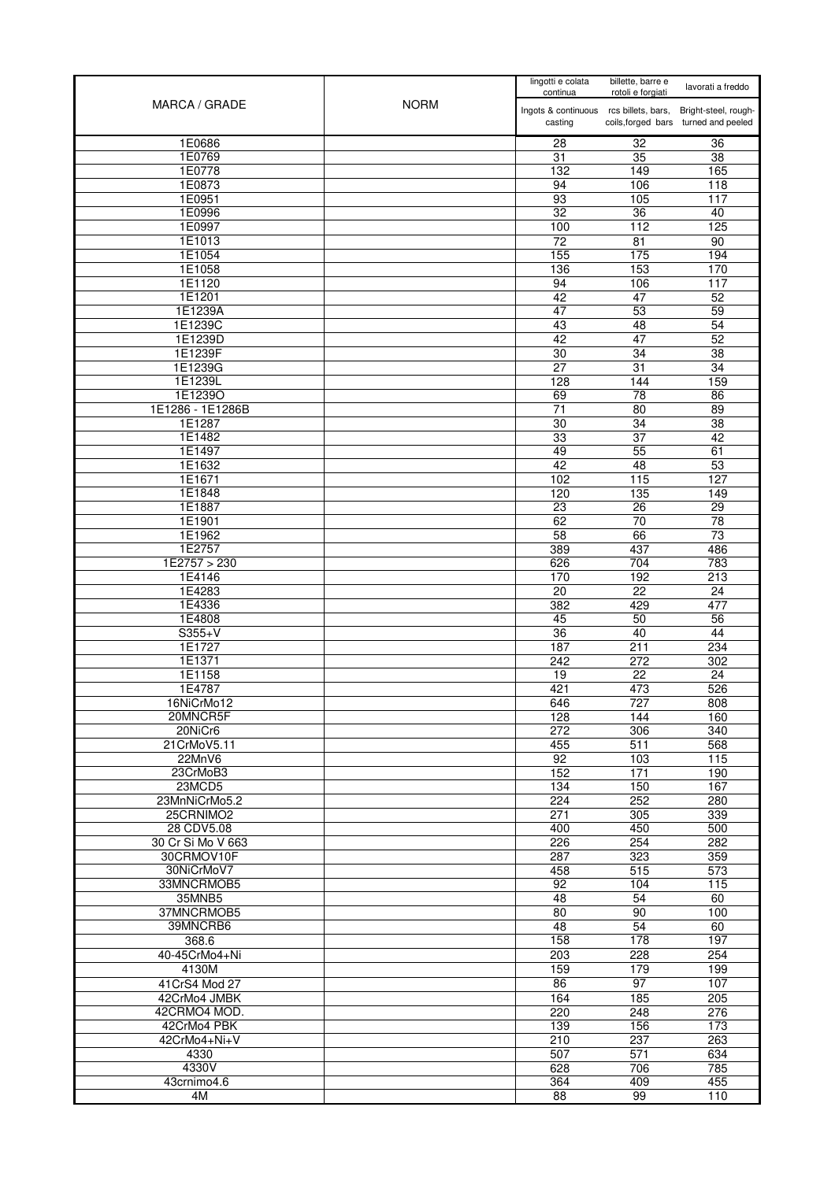| MARCA / GRADE                 | <b>NORM</b> | lingotti e colata<br>continua                     | billette, barre e<br>rotoli e forgiati | lavorati a freddo                                            |
|-------------------------------|-------------|---------------------------------------------------|----------------------------------------|--------------------------------------------------------------|
|                               |             | Ingots & continuous rcs billets, bars,<br>casting |                                        | Bright-steel, rough-<br>coils, forged bars turned and peeled |
| 1E0686                        |             | $\overline{28}$                                   | $\overline{32}$                        | $\overline{36}$                                              |
| 1E0769                        |             | 31                                                | $\overline{35}$                        | $\overline{38}$                                              |
| 1E0778                        |             | 132                                               | 149                                    | 165                                                          |
| 1E0873                        |             | 94                                                | 106                                    | 118                                                          |
| 1E0951                        |             | 93                                                | 105                                    | 117                                                          |
| 1E0996                        |             | 32                                                | 36                                     | 40                                                           |
| 1E0997                        |             | 100                                               | 112                                    | 125                                                          |
| 1E1013                        |             | 72                                                | 81                                     | 90                                                           |
| 1E1054<br>1E1058              |             | 155<br>136                                        | 175<br>153                             | 194<br>170                                                   |
| 1E1120                        |             | 94                                                | 106                                    | 117                                                          |
| 1E1201                        |             | 42                                                | 47                                     | 52                                                           |
| 1E1239A                       |             | 47                                                | 53                                     | 59                                                           |
| 1E1239C                       |             | 43                                                | 48                                     | 54                                                           |
| 1E1239D                       |             | 42                                                | 47                                     | 52                                                           |
| 1E1239F                       |             | $\overline{30}$                                   | $\overline{34}$                        | $\overline{38}$                                              |
| 1E1239G                       |             | $\overline{27}$                                   | 31                                     | 34                                                           |
| 1E1239L                       |             | 128                                               | 144                                    | 159                                                          |
| 1E1239O                       |             | 69                                                | $\overline{78}$                        | 86                                                           |
| 1E1286 - 1E1286B              |             | 71                                                | 80                                     | 89                                                           |
| 1E1287                        |             | 30                                                | 34                                     | 38                                                           |
| 1E1482<br>1E1497              |             | 33<br>49                                          | $\overline{37}$<br>$\overline{55}$     | 42<br>61                                                     |
| 1E1632                        |             | 42                                                | 48                                     | 53                                                           |
| 1E1671                        |             | 102                                               | 115                                    | 127                                                          |
| 1E1848                        |             | 120                                               | 135                                    | 149                                                          |
| 1E1887                        |             | 23                                                | 26                                     | 29                                                           |
| 1E1901                        |             | 62                                                | 70                                     | 78                                                           |
| 1E1962                        |             | 58                                                | 66                                     | $\overline{73}$                                              |
| 1E2757                        |             | 389                                               | 437                                    | 486                                                          |
| 1E2757 > 230                  |             | 626                                               | 704                                    | 783                                                          |
| 1E4146                        |             | 170                                               | 192                                    | 213                                                          |
| 1E4283                        |             | $\overline{20}$                                   | $\overline{22}$                        | $\overline{24}$                                              |
| 1E4336                        |             | 382                                               | 429                                    | 477                                                          |
| 1E4808<br>$S355+V$            |             | 45<br>36                                          | 50<br>40                               | 56<br>44                                                     |
| 1E1727                        |             | 187                                               | $\overline{211}$                       | 234                                                          |
| 1E1371                        |             | 242                                               | 272                                    | 302                                                          |
| 1E1158                        |             | 19                                                | 22                                     | 24                                                           |
| 1E4787                        |             | 421                                               | 473                                    | 526                                                          |
| 16NiCrMo12                    |             | 646                                               | 727                                    | 808                                                          |
| 20MNCR5F                      |             | 128                                               | 144                                    | 160                                                          |
| 20NiCr6                       |             | 272                                               | 306                                    | 340                                                          |
| 21CrMoV5.11                   |             | 455                                               | 511                                    | 568                                                          |
| 22MnV6                        |             | 92                                                | 103                                    | 115                                                          |
| 23CrMoB3                      |             | 152                                               | 171                                    | 190                                                          |
| 23MCD5<br>23MnNiCrMo5.2       |             | 134<br>224                                        | 150<br>252                             | 167<br>280                                                   |
| 25CRNIMO2                     |             | 271                                               | 305                                    | 339                                                          |
| 28 CDV5.08                    |             | 400                                               | 450                                    | 500                                                          |
| 30 Cr Si Mo V 663             |             | 226                                               | 254                                    | 282                                                          |
| 30CRMOV10F                    |             | 287                                               | 323                                    | 359                                                          |
| 30NiCrMoV7                    |             | 458                                               | 515                                    | 573                                                          |
| 33MNCRMOB5                    |             | 92                                                | 104                                    | 115                                                          |
| 35MNB5                        |             | 48                                                | 54                                     | 60                                                           |
| 37MNCRMOB5                    |             | 80                                                | 90                                     | 100                                                          |
| 39MNCRB6                      |             | 48                                                | 54                                     | 60                                                           |
| 368.6                         |             | 158                                               | 178                                    | 197                                                          |
| 40-45CrMo4+Ni                 |             | 203                                               | 228                                    | 254                                                          |
| 4130M                         |             | 159<br>86                                         | 179<br>97                              | 199<br>107                                                   |
| 41CrS4 Mod 27<br>42CrMo4 JMBK |             |                                                   |                                        | 205                                                          |
| 42CRMO4 MOD.                  |             | 164<br>220                                        | 185<br>248                             | 276                                                          |
| 42CrMo4 PBK                   |             | 139                                               | 156                                    | 173                                                          |
| 42CrMo4+Ni+V                  |             | 210                                               | 237                                    | 263                                                          |
| 4330                          |             | 507                                               | 571                                    | 634                                                          |
| 4330V                         |             | 628                                               | 706                                    | 785                                                          |
| 43crnimo4.6                   |             | 364                                               | 409                                    | 455                                                          |
| 4M                            |             | 88                                                | 99                                     | 110                                                          |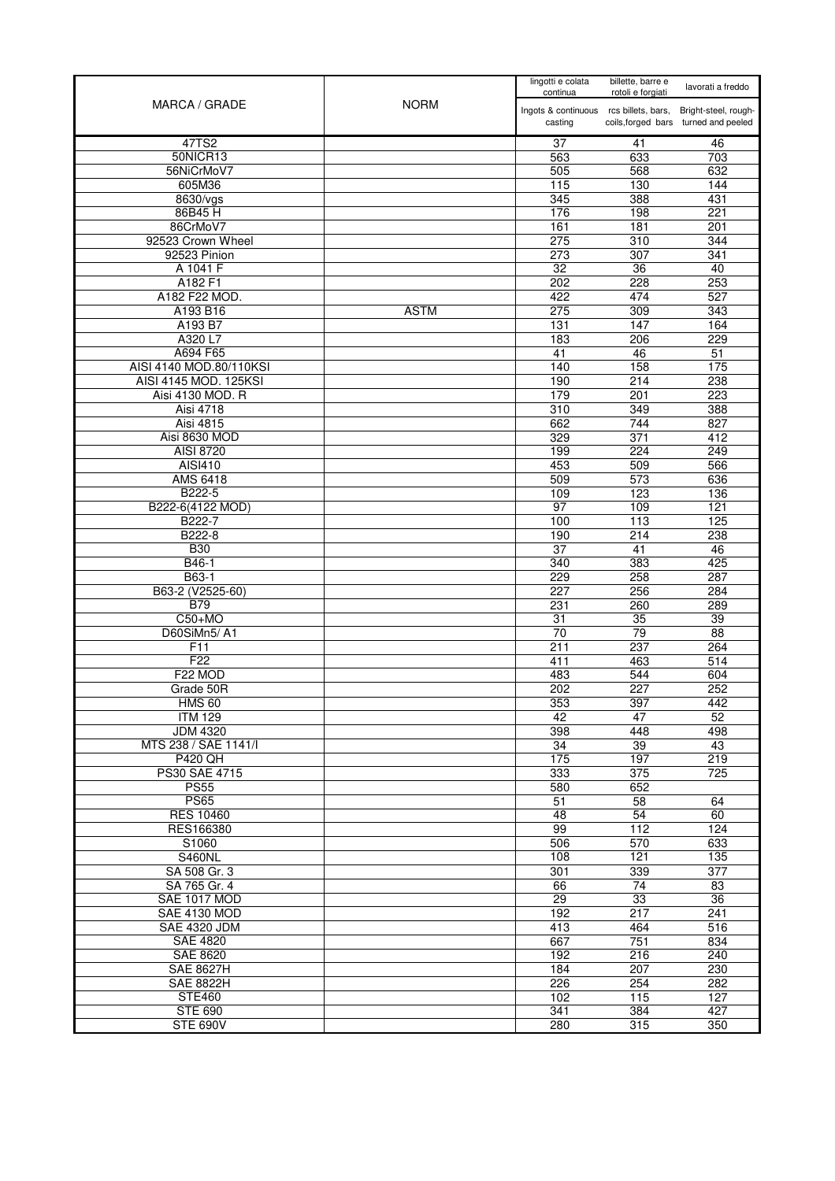|                                         |             | lingotti e colata<br>continua                     | billette, barre e<br>rotoli e forgiati | lavorati a freddo                                            |
|-----------------------------------------|-------------|---------------------------------------------------|----------------------------------------|--------------------------------------------------------------|
| MARCA / GRADE                           | <b>NORM</b> | Ingots & continuous rcs billets, bars,<br>casting |                                        | Bright-steel, rough-<br>coils, forged bars turned and peeled |
| 47TS2                                   |             | 37                                                | 41                                     | 46                                                           |
| 50NICR13                                |             | 563                                               | 633                                    | 703                                                          |
| 56NiCrMoV7                              |             | 505                                               | 568                                    | 632                                                          |
| 605M36                                  |             | 115                                               | 130                                    | 144                                                          |
| 8630/vgs                                |             | 345                                               | 388                                    | 431                                                          |
| 86B45H                                  |             | 176                                               | 198                                    | 221                                                          |
| 86CrMoV7                                |             | 161                                               | 181                                    | 201                                                          |
| 92523 Crown Wheel<br>92523 Pinion       |             | 275                                               | 310<br>307                             | 344<br>341                                                   |
| A 1041 F                                |             | 273<br>$\overline{32}$                            | $\overline{36}$                        | 40                                                           |
| A182 F1                                 |             | 202                                               | 228                                    | 253                                                          |
| A182 F22 MOD.                           |             | 422                                               | 474                                    | 527                                                          |
| A193 B16                                | <b>ASTM</b> | 275                                               | 309                                    | 343                                                          |
| A193 B7                                 |             | 131                                               | 147                                    | 164                                                          |
| A320 L7                                 |             | 183                                               | 206                                    | 229                                                          |
| A694 F65                                |             | 41                                                | 46                                     | 51                                                           |
| AISI 4140 MOD.80/110KSI                 |             | 140                                               | 158                                    | 175                                                          |
| AISI 4145 MOD. 125KSI                   |             | 190                                               | 214                                    | 238                                                          |
| Aisi 4130 MOD. R                        |             | 179                                               | 201                                    | 223                                                          |
| Aisi 4718                               |             | 310                                               | 349                                    | 388                                                          |
| <b>Aisi 4815</b>                        |             | 662                                               | 744                                    | 827                                                          |
| Aisi 8630 MOD                           |             | 329                                               | 371                                    | 412                                                          |
| AISI 8720                               |             | 199                                               | 224                                    | 249                                                          |
| AISI410                                 |             | 453                                               | 509                                    | 566                                                          |
| AMS 6418                                |             | 509                                               | 573                                    | 636                                                          |
| B222-5                                  |             | 109                                               | 123                                    | 136                                                          |
| B222-6(4122 MOD)<br>B222-7              |             | 97                                                | 109                                    | 121                                                          |
| B222-8                                  |             | 100<br>190                                        | 113<br>214                             | 125<br>238                                                   |
| <b>B30</b>                              |             | 37                                                | 41                                     | 46                                                           |
| B46-1                                   |             | 340                                               | 383                                    | 425                                                          |
| B63-1                                   |             | 229                                               | 258                                    | 287                                                          |
| B63-2 (V2525-60)                        |             | 227                                               | 256                                    | 284                                                          |
| <b>B79</b>                              |             | 231                                               | 260                                    | 289                                                          |
| $C50+MO$                                |             | 31                                                | $\overline{35}$                        | 39                                                           |
| D60SiMn5/A1                             |             | 70                                                | 79                                     | 88                                                           |
| F <sub>11</sub>                         |             | 211                                               | 237                                    | 264                                                          |
| F <sub>22</sub>                         |             | 411                                               | 463                                    | 514                                                          |
| F22 MOD                                 |             | 483                                               | 544                                    | 604                                                          |
| Grade 50R                               |             | 202                                               | 227                                    | 252                                                          |
| <b>HMS 60</b>                           |             | 353                                               | 397                                    | 442                                                          |
| <b>ITM 129</b>                          |             | 42                                                | 47                                     | 52                                                           |
| <b>JDM 4320</b><br>MTS 238 / SAE 1141/I |             | 398<br>34                                         | 448<br>39                              | 498<br>43                                                    |
| <b>P420 QH</b>                          |             | 175                                               | 197                                    | 219                                                          |
| PS30 SAE 4715                           |             | 333                                               | 375                                    | 725                                                          |
| <b>PS55</b>                             |             | 580                                               | 652                                    |                                                              |
| <b>PS65</b>                             |             | 51                                                | 58                                     | 64                                                           |
| <b>RES 10460</b>                        |             | 48                                                | $\overline{54}$                        | 60                                                           |
| RES166380                               |             | 99                                                | 112                                    | 124                                                          |
| S1060                                   |             | 506                                               | 570                                    | 633                                                          |
| <b>S460NL</b>                           |             | 108                                               | 121                                    | 135                                                          |
| SA 508 Gr. 3                            |             | 301                                               | 339                                    | 377                                                          |
| SA 765 Gr. 4                            |             | 66                                                | 74                                     | 83                                                           |
| SAE 1017 MOD                            |             | 29                                                | 33                                     | 36                                                           |
| <b>SAE 4130 MOD</b>                     |             | 192                                               | 217                                    | 241                                                          |
| <b>SAE 4320 JDM</b>                     |             | 413                                               | 464                                    | 516                                                          |
| <b>SAE 4820</b>                         |             | 667                                               | 751                                    | 834                                                          |
| <b>SAE 8620</b><br><b>SAE 8627H</b>     |             | 192<br>184                                        | 216<br>207                             | 240                                                          |
| <b>SAE 8822H</b>                        |             | 226                                               | 254                                    | 230<br>282                                                   |
| <b>STE460</b>                           |             | 102                                               | 115                                    | 127                                                          |
| <b>STE 690</b>                          |             | 341                                               | 384                                    | 427                                                          |
| <b>STE 690V</b>                         |             | 280                                               | 315                                    | 350                                                          |
|                                         |             |                                                   |                                        |                                                              |